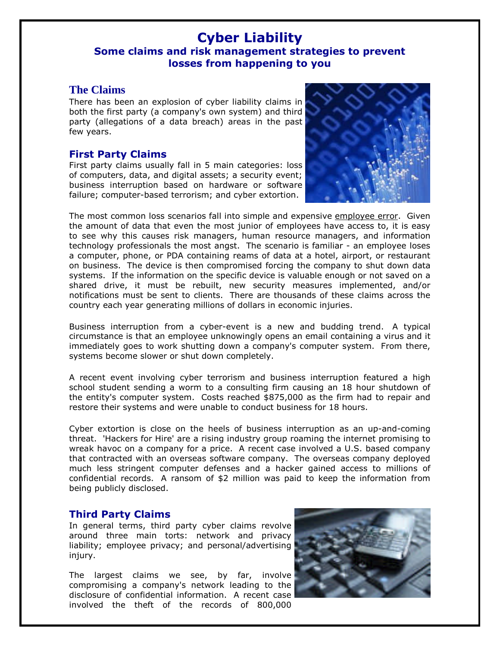# **Cyber Liability Some claims and risk management strategies to prevent losses from happening to you**

#### **The Claims**

There has been an explosion of cyber liability claims in both the first party (a company's own system) and third party (allegations of a data breach) areas in the past few years.

### **First Party Claims**

First party claims usually fall in 5 main categories: loss of computers, data, and digital assets; a security event; business interruption based on hardware or software failure; computer-based terrorism; and cyber extortion.



The most common loss scenarios fall into simple and expensive employee error. Given the amount of data that even the most junior of employees have access to, it is easy to see why this causes risk managers, human resource managers, and information technology professionals the most angst. The scenario is familiar - an employee loses a computer, phone, or PDA containing reams of data at a hotel, airport, or restaurant on business. The device is then compromised forcing the company to shut down data systems. If the information on the specific device is valuable enough or not saved on a shared drive, it must be rebuilt, new security measures implemented, and/or notifications must be sent to clients. There are thousands of these claims across the country each year generating millions of dollars in economic injuries.

Business interruption from a cyber-event is a new and budding trend. A typical circumstance is that an employee unknowingly opens an email containing a virus and it immediately goes to work shutting down a company's computer system. From there, systems become slower or shut down completely.

A recent event involving cyber terrorism and business interruption featured a high school student sending a worm to a consulting firm causing an 18 hour shutdown of the entity's computer system. Costs reached \$875,000 as the firm had to repair and restore their systems and were unable to conduct business for 18 hours.

Cyber extortion is close on the heels of business interruption as an up-and-coming threat. 'Hackers for Hire' are a rising industry group roaming the internet promising to wreak havoc on a company for a price. A recent case involved a U.S. based company that contracted with an overseas software company. The overseas company deployed much less stringent computer defenses and a hacker gained access to millions of confidential records. A ransom of \$2 million was paid to keep the information from being publicly disclosed.

## **Third Party Claims**

In general terms, third party cyber claims revolve around three main torts: network and privacy liability; employee privacy; and personal/advertising injury.

The largest claims we see, by far, involve compromising a company's network leading to the disclosure of confidential information. A recent case involved the theft of the records of 800,000